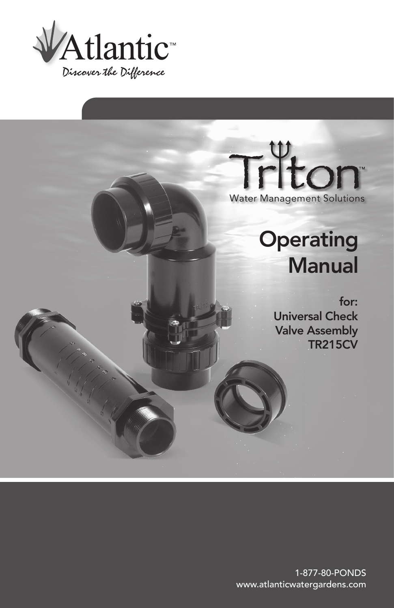



## **Operating Manual**

for: Universal Check Valve Assembly TR215CV

1-877-80-PONDS www.atlanticwatergardens.com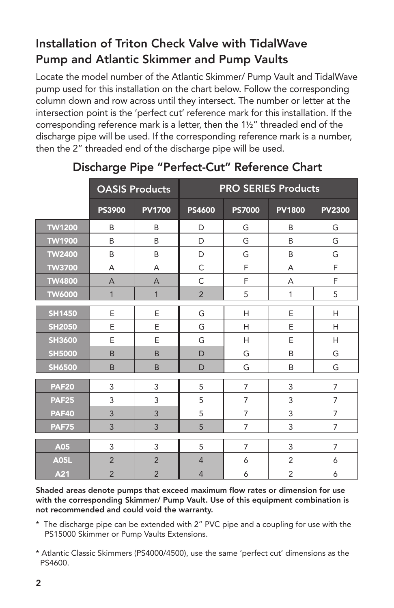## Installation of Triton Check Valve with TidalWave Pump and Atlantic Skimmer and Pump Vaults

Locate the model number of the Atlantic Skimmer/ Pump Vault and TidalWave pump used for this installation on the chart below. Follow the corresponding column down and row across until they intersect. The number or letter at the intersection point is the 'perfect cut' reference mark for this installation. If the corresponding reference mark is a letter, then the 11/2" threaded end of the discharge pipe will be used. If the corresponding reference mark is a number, then the 2" threaded end of the discharge pipe will be used.

|               | <b>OASIS Products</b> |                | <b>PRO SERIES Products</b> |                |                |                |
|---------------|-----------------------|----------------|----------------------------|----------------|----------------|----------------|
|               | <b>PS3900</b>         | <b>PV1700</b>  | <b>PS4600</b>              | <b>PS7000</b>  | <b>PV1800</b>  | <b>PV2300</b>  |
| <b>TW1200</b> | B                     | B              | D                          | G              | B              | G              |
| <b>TW1900</b> | B                     | B              | D                          | G              | <sub>B</sub>   | G              |
| <b>TW2400</b> | B                     | B              | D                          | G              | B              | G              |
| <b>TW3700</b> | A                     | A              | C                          | F              | A              | F              |
| <b>TW4800</b> | $\overline{A}$        | $\overline{A}$ | Ċ                          | F              | A              | F              |
| <b>TW6000</b> | 1                     | 1              | $\overline{2}$             | 5              | 1              | 5              |
| <b>SH1450</b> | E                     | E              | G                          | H              | E              | H              |
| <b>SH2050</b> | E                     | E              | G                          | H              | E              | H              |
| <b>SH3600</b> | E                     | E              | G                          | H              | E              | H              |
| <b>SH5000</b> | B                     | B              | D                          | G              | B              | G              |
| <b>SH6500</b> | B                     | B              | D                          | G              | B              | G              |
| <b>PAF20</b>  | 3                     | 3              | 5                          | $\overline{7}$ | 3              | $\overline{7}$ |
| <b>PAF25</b>  | 3                     | 3              | 5                          | 7              | 3              | $\overline{7}$ |
| <b>PAF40</b>  | 3                     | 3              | 5                          | $\overline{7}$ | 3              | $\overline{7}$ |
| <b>PAF75</b>  | $\overline{3}$        | 3              | 5                          | $\overline{7}$ | 3              | $\overline{7}$ |
| A05           | 3                     | 3              | 5                          | $\overline{7}$ | 3              | $\overline{7}$ |
| <b>A05L</b>   | $\overline{2}$        | $\overline{2}$ | $\overline{4}$             | 6              | $\overline{2}$ | 6              |
|               | $\overline{2}$        | $\overline{2}$ |                            |                | $\overline{2}$ |                |
| A21           |                       |                | $\overline{4}$             | 6              |                | 6              |

## Discharge Pipe "Perfect-Cut" Reference Chart

Shaded areas denote pumps that exceed maximum flow rates or dimension for use with the corresponding Skimmer/ Pump Vault. Use of this equipment combination is not recommended and could void the warranty.

- \* The discharge pipe can be extended with 2" PVC pipe and a coupling for use with the PS15000 Skimmer or Pump Vaults Extensions.
- \* Atlantic Classic Skimmers (PS4000/4500), use the same 'perfect cut' dimensions as the PS4600.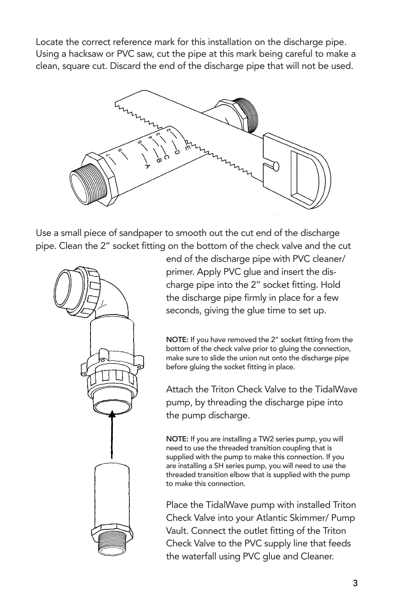Locate the correct reference mark for this installation on the discharge pipe. Using a hacksaw or PVC saw, cut the pipe at this mark being careful to make a clean, square cut. Discard the end of the discharge pipe that will not be used.



Use a small piece of sandpaper to smooth out the cut end of the discharge pipe. Clean the 2" socket fitting on the bottom of the check valve and the cut



end of the discharge pipe with PVC cleaner/ primer. Apply PVC glue and insert the discharge pipe into the 2" socket fitting. Hold the discharge pipe firmly in place for a few seconds, giving the glue time to set up.

NOTE: If you have removed the 2" socket fitting from the bottom of the check valve prior to gluing the connection, make sure to slide the union nut onto the discharge pipe before gluing the socket fitting in place.

Attach the Triton Check Valve to the TidalWave pump, by threading the discharge pipe into the pump discharge.

NOTE: If you are installing a TW2 series pump, you will need to use the threaded transition coupling that is supplied with the pump to make this connection. If you are installing a SH series pump, you will need to use the threaded transition elbow that is supplied with the pump to make this connection.

Place the TidalWave pump with installed Triton Check Valve into your Atlantic Skimmer/ Pump Vault. Connect the outlet fitting of the Triton Check Valve to the PVC supply line that feeds the waterfall using PVC glue and Cleaner.